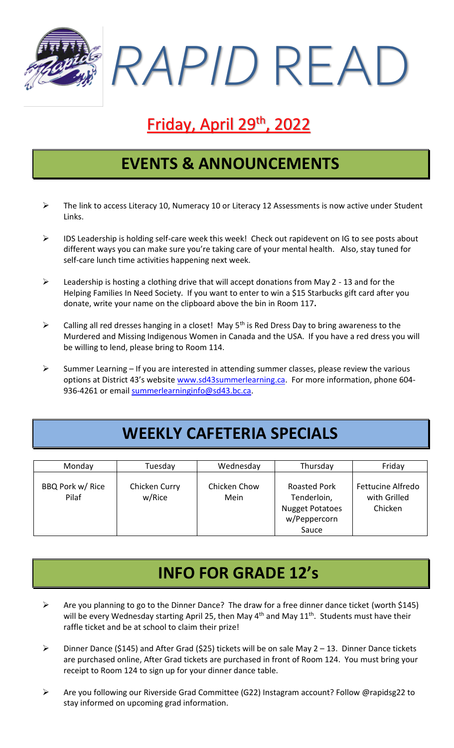

# **Friday, April 29<sup>th</sup>, 2022**

#### **EVENTS & ANNOUNCEMENTS**

- ➢ The link to access Literacy 10, Numeracy 10 or Literacy 12 Assessments is now active under Student Links.
- ➢ IDS Leadership is holding self-care week this week! Check out rapidevent on IG to see posts about different ways you can make sure you're taking care of your mental health. Also, stay tuned for self-care lunch time activities happening next week.
- ➢ Leadership is hosting a clothing drive that will accept donations from May 2 13 and for the Helping Families In Need Society. If you want to enter to win a \$15 Starbucks gift card after you donate, write your name on the clipboard above the bin in Room 117**.**
- $\triangleright$  Calling all red dresses hanging in a closet! May 5<sup>th</sup> is Red Dress Day to bring awareness to the Murdered and Missing Indigenous Women in Canada and the USA. If you have a red dress you will be willing to lend, please bring to Room 114.
- $\triangleright$  Summer Learning If you are interested in attending summer classes, please review the various options at District 43's website [www.sd43summerlearning.ca.](http://www.sd43summerlearning.ca/) For more information, phone 604936-4261 or email [summerlearninginfo@sd43.bc.ca.](mailto:summerlearninginfo@sd43.bc.ca)

## **WEEKLY CAFETERIA SPECIALS**

| Monday                    | Tuesday                 | Wednesday            | Thursday                                                                              | Friday                                       |
|---------------------------|-------------------------|----------------------|---------------------------------------------------------------------------------------|----------------------------------------------|
| BBQ Pork w/ Rice<br>Pilaf | Chicken Curry<br>w/Rice | Chicken Chow<br>Mein | <b>Roasted Pork</b><br>Tenderloin,<br><b>Nugget Potatoes</b><br>w/Peppercorn<br>Sauce | Fettucine Alfredo<br>with Grilled<br>Chicken |

#### **INFO FOR GRADE 12's**

- ➢ Are you planning to go to the Dinner Dance? The draw for a free dinner dance ticket (worth \$145) will be every Wednesday starting April 25, then May  $4<sup>th</sup>$  and May  $11<sup>th</sup>$ . Students must have their raffle ticket and be at school to claim their prize!
- ➢ Dinner Dance (\$145) and After Grad (\$25) tickets will be on sale May 2 13. Dinner Dance tickets are purchased online, After Grad tickets are purchased in front of Room 124. You must bring your receipt to Room 124 to sign up for your dinner dance table.
- ➢ Are you following our Riverside Grad Committee (G22) Instagram account? Follow @rapidsg22 to stay informed on upcoming grad information.